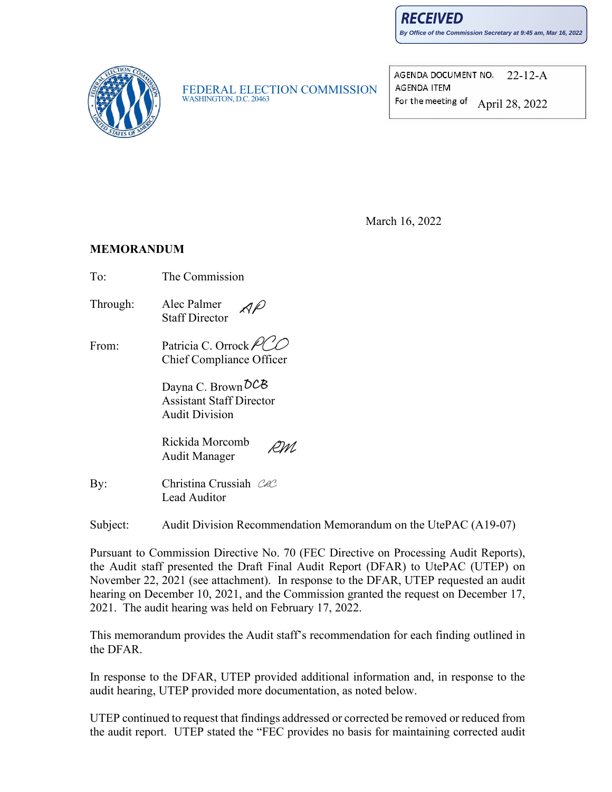**RECEIVED** 

**By Office of the Commission Secretary at 9:45 am, Mar 16, 2022**



FEDERAL ELECTION COMMISSION<br>WASHINGTON, D.C. 20463

AGENDA DOCUMENT NO. 22-12-A **AGENDA ITEM** For the meeting of April 28, 2022

March 16, 2022

#### **MEMORANDUM**

- To: The Commission
- Through: Alec Palmer Staff Director
- From: Patricia C. Orrock Chief Compliance Officer

Dayna C. Brown  $\delta$ CB Assistant Staff Director Audit Division

Rickida Morcomb DM. Audit Manager

By: Christina Crussiah CeC Lead Auditor

Subject: Audit Division Recommendation Memorandum on the UtePAC (A19-07)

Pursuant to Commission Directive No. 70 (FEC Directive on Processing Audit Reports), the Audit staff presented the Draft Final Audit Report (DFAR) to UtePAC (UTEP) on November 22, 2021 (see attachment). In response to the DFAR, UTEP requested an audit hearing on December 10, 2021, and the Commission granted the request on December 17, 2021. The audit hearing was held on February 17, 2022.

This memorandum provides the Audit staff's recommendation for each finding outlined in the DFAR.

In response to the DFAR, UTEP provided additional information and, in response to the audit hearing, UTEP provided more documentation, as noted below.

UTEP continued to request that findings addressed or corrected be removed or reduced from the audit report. UTEP stated the "FEC provides no basis for maintaining corrected audit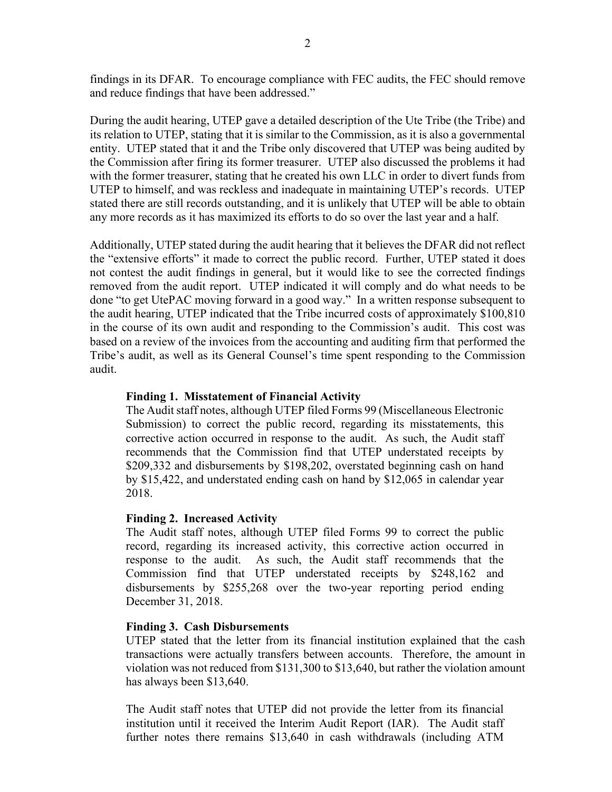findings in its DFAR. To encourage compliance with FEC audits, the FEC should remove and reduce findings that have been addressed."

During the audit hearing, UTEP gave a detailed description of the Ute Tribe (the Tribe) and its relation to UTEP, stating that it is similar to the Commission, as it is also a governmental entity. UTEP stated that it and the Tribe only discovered that UTEP was being audited by the Commission after firing its former treasurer. UTEP also discussed the problems it had with the former treasurer, stating that he created his own LLC in order to divert funds from UTEP to himself, and was reckless and inadequate in maintaining UTEP's records. UTEP stated there are still records outstanding, and it is unlikely that UTEP will be able to obtain any more records as it has maximized its efforts to do so over the last year and a half.

Additionally, UTEP stated during the audit hearing that it believes the DFAR did not reflect the "extensive efforts" it made to correct the public record. Further, UTEP stated it does not contest the audit findings in general, but it would like to see the corrected findings removed from the audit report. UTEP indicated it will comply and do what needs to be done "to get UtePAC moving forward in a good way." In a written response subsequent to the audit hearing, UTEP indicated that the Tribe incurred costs of approximately \$100,810 in the course of its own audit and responding to the Commission's audit. This cost was based on a review of the invoices from the accounting and auditing firm that performed the Tribe's audit, as well as its General Counsel's time spent responding to the Commission audit.

#### **Finding 1. Misstatement of Financial Activity**

The Audit staff notes, although UTEP filed Forms 99 (Miscellaneous Electronic Submission) to correct the public record, regarding its misstatements, this corrective action occurred in response to the audit. As such, the Audit staff recommends that the Commission find that UTEP understated receipts by \$209,332 and disbursements by \$198,202, overstated beginning cash on hand by \$15,422, and understated ending cash on hand by \$12,065 in calendar year 2018.

#### **Finding 2. Increased Activity**

The Audit staff notes, although UTEP filed Forms 99 to correct the public record, regarding its increased activity, this corrective action occurred in response to the audit. As such, the Audit staff recommends that the Commission find that UTEP understated receipts by \$248,162 and disbursements by \$255,268 over the two-year reporting period ending December 31, 2018.

#### **Finding 3. Cash Disbursements**

UTEP stated that the letter from its financial institution explained that the cash transactions were actually transfers between accounts. Therefore, the amount in violation was not reduced from \$131,300 to \$13,640, but rather the violation amount has always been \$13,640.

The Audit staff notes that UTEP did not provide the letter from its financial institution until it received the Interim Audit Report (IAR). The Audit staff further notes there remains \$13,640 in cash withdrawals (including ATM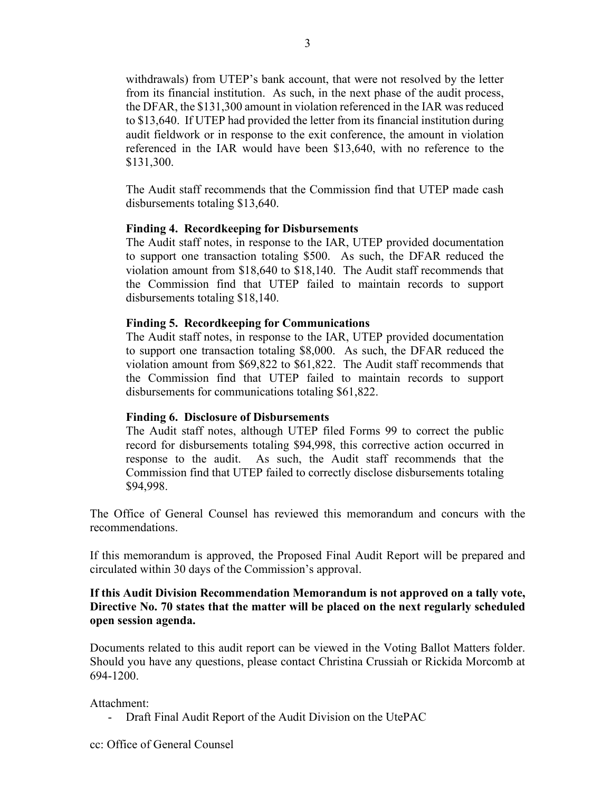withdrawals) from UTEP's bank account, that were not resolved by the letter from its financial institution. As such, in the next phase of the audit process, the DFAR, the \$131,300 amount in violation referenced in the IAR was reduced to \$13,640. If UTEP had provided the letter from its financial institution during audit fieldwork or in response to the exit conference, the amount in violation referenced in the IAR would have been \$13,640, with no reference to the \$131,300.

The Audit staff recommends that the Commission find that UTEP made cash disbursements totaling \$13,640.

#### **Finding 4. Recordkeeping for Disbursements**

The Audit staff notes, in response to the IAR, UTEP provided documentation to support one transaction totaling \$500. As such, the DFAR reduced the violation amount from \$18,640 to \$18,140. The Audit staff recommends that the Commission find that UTEP failed to maintain records to support disbursements totaling \$18,140.

#### **Finding 5. Recordkeeping for Communications**

The Audit staff notes, in response to the IAR, UTEP provided documentation to support one transaction totaling \$8,000. As such, the DFAR reduced the violation amount from \$69,822 to \$61,822. The Audit staff recommends that the Commission find that UTEP failed to maintain records to support disbursements for communications totaling \$61,822.

#### **Finding 6. Disclosure of Disbursements**

The Audit staff notes, although UTEP filed Forms 99 to correct the public record for disbursements totaling \$94,998, this corrective action occurred in response to the audit. As such, the Audit staff recommends that the Commission find that UTEP failed to correctly disclose disbursements totaling \$94,998.

The Office of General Counsel has reviewed this memorandum and concurs with the recommendations.

If this memorandum is approved, the Proposed Final Audit Report will be prepared and circulated within 30 days of the Commission's approval.

#### **If this Audit Division Recommendation Memorandum is not approved on a tally vote, Directive No. 70 states that the matter will be placed on the next regularly scheduled open session agenda.**

Documents related to this audit report can be viewed in the Voting Ballot Matters folder. Should you have any questions, please contact Christina Crussiah or Rickida Morcomb at 694-1200.

#### Attachment:

- Draft Final Audit Report of the Audit Division on the UtePAC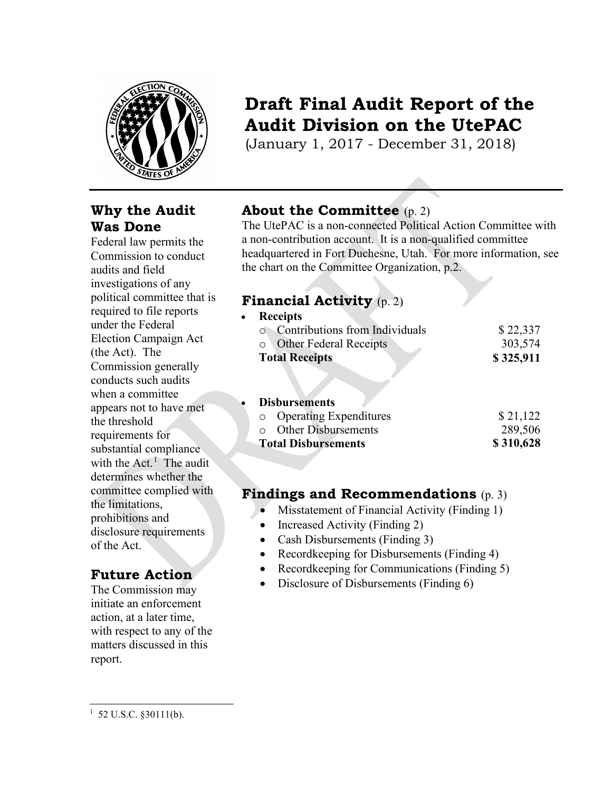

## **Why the Audit Was Done**

Federal law permits the Commission to conduct audits and field investigations of any political committee that is required to file reports under the Federal Election Campaign Act (the Act). The Commission generally conducts such audits when a committee appears not to have met the threshold requirements for substantial compliance with the Act.<sup>[1](#page-3-0)</sup> The audit determines whether the committee complied with the limitations, prohibitions and disclosure requirements of the Act.

## **Future Action**

The Commission may initiate an enforcement action, at a later time, with respect to any of the matters discussed in this report.

# **Draft Final Audit Report of the Audit Division on the UtePAC**

(January 1, 2017 - December 31, 2018)

# **About the Committee** (p. 2)

The UtePAC is a non-connected Political Action Committee with a non-contribution account. It is a non-qualified committee headquartered in Fort Duchesne, Utah. For more information, see the chart on the Committee Organization, p.2.

## **Financial Activity** (p. 2)

| \$22,337  |
|-----------|
| 303,574   |
| \$325,911 |
|           |

## • **Disbursements**

| <b>Total Disbursements</b>  | \$310,628 |
|-----------------------------|-----------|
| $\circ$ Other Disbursements | 289,506   |
| • Operating Expenditures    | \$21,122  |

## **Findings and Recommendations** (p. 3)

- Misstatement of Financial Activity (Finding 1)
- Increased Activity (Finding 2)
- Cash Disbursements (Finding 3)
- Recordkeeping for Disbursements (Finding 4)
- Recordkeeping for Communications (Finding 5)
- Disclosure of Disbursements (Finding 6)

<span id="page-3-0"></span> $1\,$  52 U.S.C. §30111(b).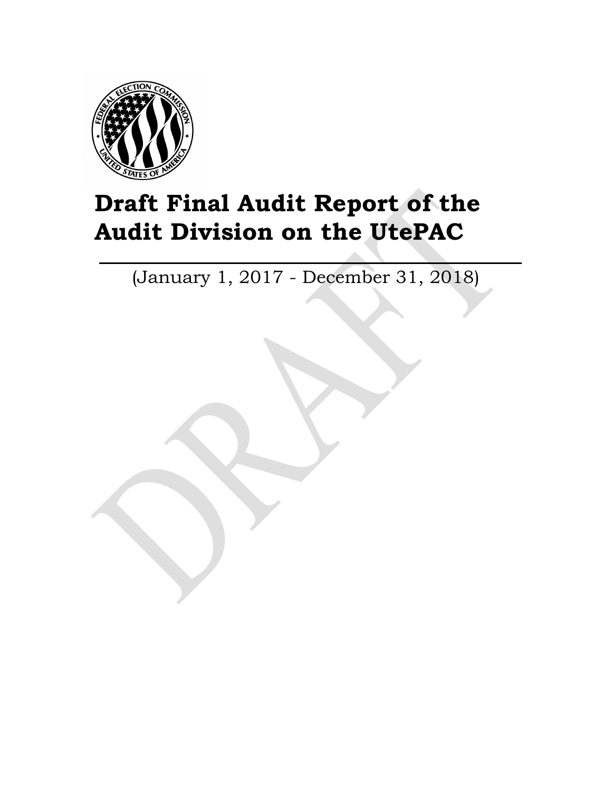

# **Draft Final Audit Report of the Audit Division on the UtePAC**

(January 1, 2017 - December 31, 2018)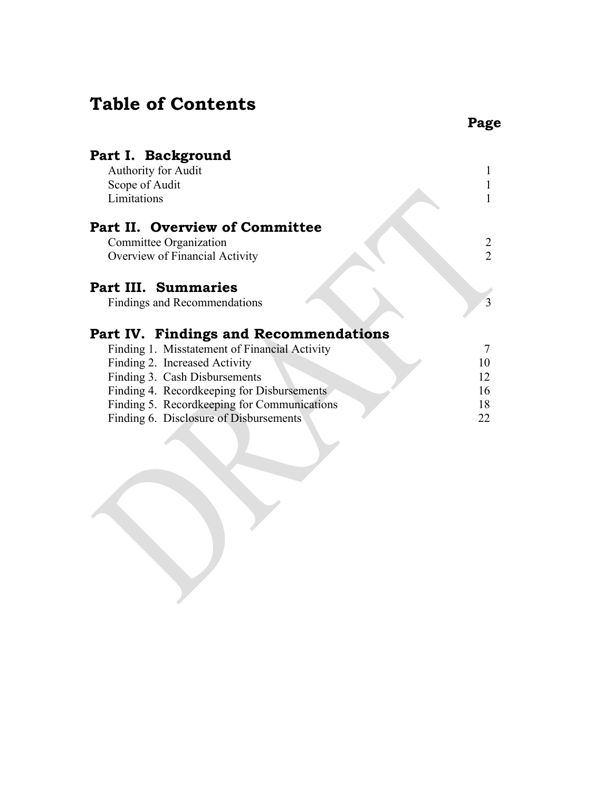# **Table of Contents**

| Part I. Background                            |                |
|-----------------------------------------------|----------------|
| Authority for Audit                           |                |
| Scope of Audit                                |                |
| Limitations                                   |                |
| Part II. Overview of Committee                |                |
| Committee Organization                        | 2              |
| Overview of Financial Activity                | $\overline{2}$ |
| <b>Part III. Summaries</b>                    |                |
| Findings and Recommendations                  | 3              |
| Part IV. Findings and Recommendations         |                |
| Finding 1. Misstatement of Financial Activity |                |
| Finding 2. Increased Activity                 | 10             |
| Finding 3. Cash Disbursements                 | 12             |
| Finding 4. Recordkeeping for Disbursements    | 16             |
| Finding 5. Recordkeeping for Communications   | 18             |
| Finding 6. Disclosure of Disbursements        | 22             |
|                                               |                |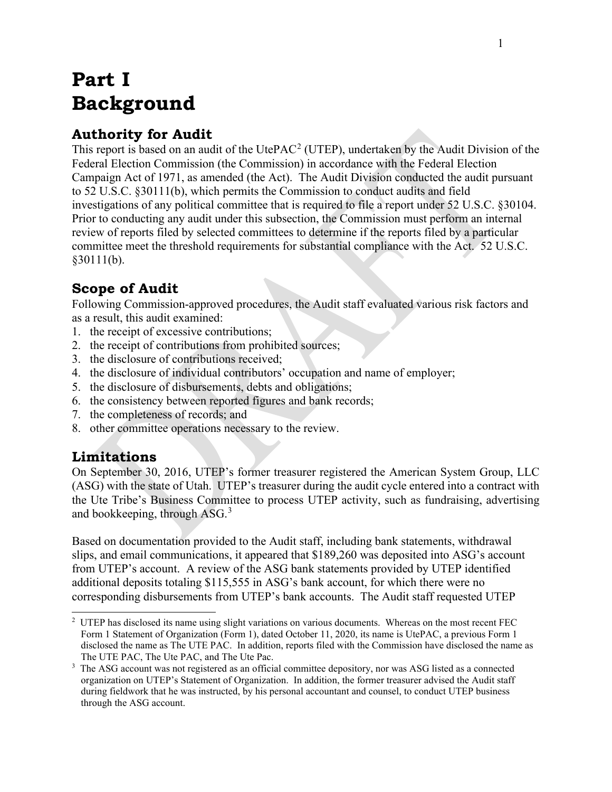# **Part I Background**

## **Authority for Audit**

This report is based on an audit of the UtePAC<sup>[2](#page-6-0)</sup> (UTEP), undertaken by the Audit Division of the Federal Election Commission (the Commission) in accordance with the Federal Election Campaign Act of 1971, as amended (the Act). The Audit Division conducted the audit pursuant to 52 U.S.C. §30111(b), which permits the Commission to conduct audits and field investigations of any political committee that is required to file a report under 52 U.S.C. §30104. Prior to conducting any audit under this subsection, the Commission must perform an internal review of reports filed by selected committees to determine if the reports filed by a particular committee meet the threshold requirements for substantial compliance with the Act. 52 U.S.C. §30111(b).

# **Scope of Audit**

Following Commission-approved procedures, the Audit staff evaluated various risk factors and as a result, this audit examined:

- 1. the receipt of excessive contributions;
- 2. the receipt of contributions from prohibited sources;
- 3. the disclosure of contributions received;
- 4. the disclosure of individual contributors' occupation and name of employer;
- 5. the disclosure of disbursements, debts and obligations;
- 6. the consistency between reported figures and bank records;
- 7. the completeness of records; and
- 8. other committee operations necessary to the review.

## **Limitations**

On September 30, 2016, UTEP's former treasurer registered the American System Group, LLC (ASG) with the state of Utah. UTEP's treasurer during the audit cycle entered into a contract with the Ute Tribe's Business Committee to process UTEP activity, such as fundraising, advertising and bookkeeping, through ASG.<sup>[3](#page-6-1)</sup>

Based on documentation provided to the Audit staff, including bank statements, withdrawal slips, and email communications, it appeared that \$189,260 was deposited into ASG's account from UTEP's account. A review of the ASG bank statements provided by UTEP identified additional deposits totaling \$115,555 in ASG's bank account, for which there were no corresponding disbursements from UTEP's bank accounts. The Audit staff requested UTEP

<span id="page-6-0"></span><sup>&</sup>lt;sup>2</sup> UTEP has disclosed its name using slight variations on various documents. Whereas on the most recent FEC Form 1 Statement of Organization (Form 1), dated October 11, 2020, its name is UtePAC, a previous Form 1 disclosed the name as The UTE PAC. In addition, reports filed with the Commission have disclosed the name as The UTE PAC, The Ute PAC, and The Ute Pac.

<span id="page-6-1"></span><sup>3</sup> The ASG account was not registered as an official committee depository, nor was ASG listed as a connected organization on UTEP's Statement of Organization. In addition, the former treasurer advised the Audit staff during fieldwork that he was instructed, by his personal accountant and counsel, to conduct UTEP business through the ASG account.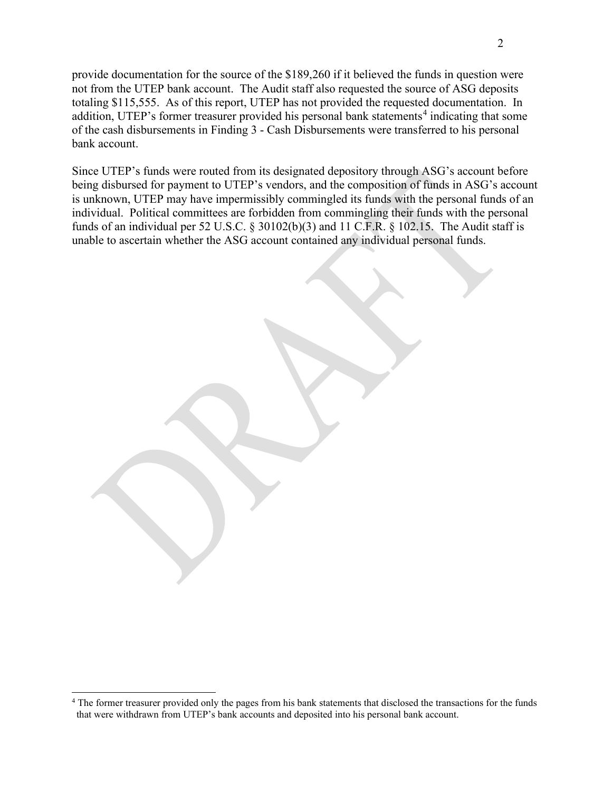provide documentation for the source of the \$189,260 if it believed the funds in question were not from the UTEP bank account. The Audit staff also requested the source of ASG deposits totaling \$115,555. As of this report, UTEP has not provided the requested documentation. In addition, UTEP's former treasurer provided his personal bank statements<sup>[4](#page-7-0)</sup> indicating that some of the cash disbursements in Finding 3 - Cash Disbursements were transferred to his personal bank account.

Since UTEP's funds were routed from its designated depository through ASG's account before being disbursed for payment to UTEP's vendors, and the composition of funds in ASG's account is unknown, UTEP may have impermissibly commingled its funds with the personal funds of an individual. Political committees are forbidden from commingling their funds with the personal funds of an individual per 52 U.S.C.  $\S 30102(b)(3)$  and 11 C.F.R.  $\S 102.15$ . The Audit staff is unable to ascertain whether the ASG account contained any individual personal funds.

<span id="page-7-0"></span><sup>&</sup>lt;sup>4</sup> The former treasurer provided only the pages from his bank statements that disclosed the transactions for the funds that were withdrawn from UTEP's bank accounts and deposited into his personal bank account.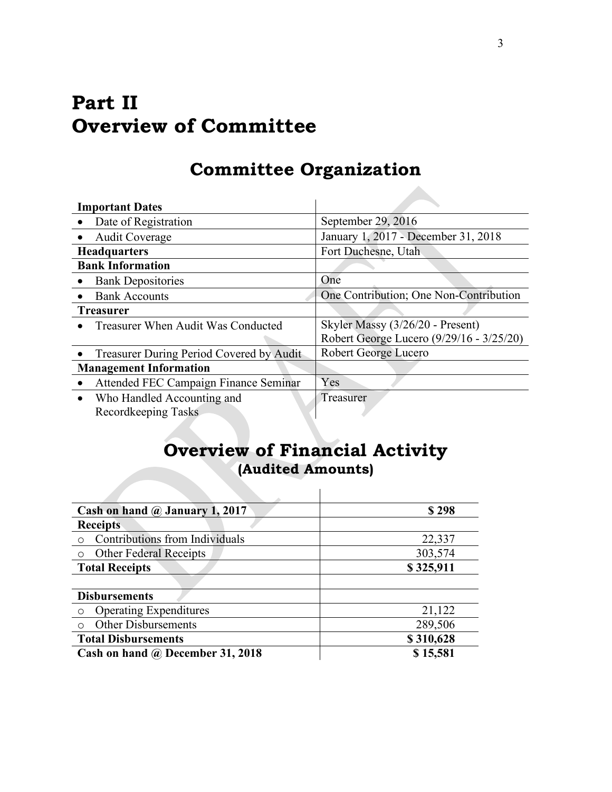# **Part II Overview of Committee**

# **Committee Organization**

| <b>Important Dates</b>                   |                                          |
|------------------------------------------|------------------------------------------|
| Date of Registration                     | September 29, 2016                       |
| <b>Audit Coverage</b>                    | January 1, 2017 - December 31, 2018      |
| <b>Headquarters</b>                      | Fort Duchesne, Utah                      |
| <b>Bank Information</b>                  |                                          |
| <b>Bank Depositories</b>                 | One                                      |
| <b>Bank Accounts</b>                     | One Contribution; One Non-Contribution   |
| <b>Treasurer</b>                         |                                          |
| Treasurer When Audit Was Conducted       | Skyler Massy (3/26/20 - Present)         |
|                                          | Robert George Lucero (9/29/16 - 3/25/20) |
| Treasurer During Period Covered by Audit | Robert George Lucero                     |
| <b>Management Information</b>            |                                          |
| Attended FEC Campaign Finance Seminar    | Yes                                      |
| Who Handled Accounting and               | Treasurer                                |
| Recordkeeping Tasks                      |                                          |

# **Overview of Financial Activity (Audited Amounts)**

| Cash on hand @ January 1, 2017   | \$298     |
|----------------------------------|-----------|
| <b>Receipts</b>                  |           |
| Contributions from Individuals   | 22,337    |
| <b>Other Federal Receipts</b>    | 303,574   |
| <b>Total Receipts</b>            | \$325,911 |
|                                  |           |
| <b>Disbursements</b>             |           |
| <b>Operating Expenditures</b>    | 21,122    |
| <b>Other Disbursements</b>       | 289,506   |
| <b>Total Disbursements</b>       | \$310,628 |
| Cash on hand @ December 31, 2018 | \$15,581  |

 $\mathcal{L}_{\mathcal{A}}$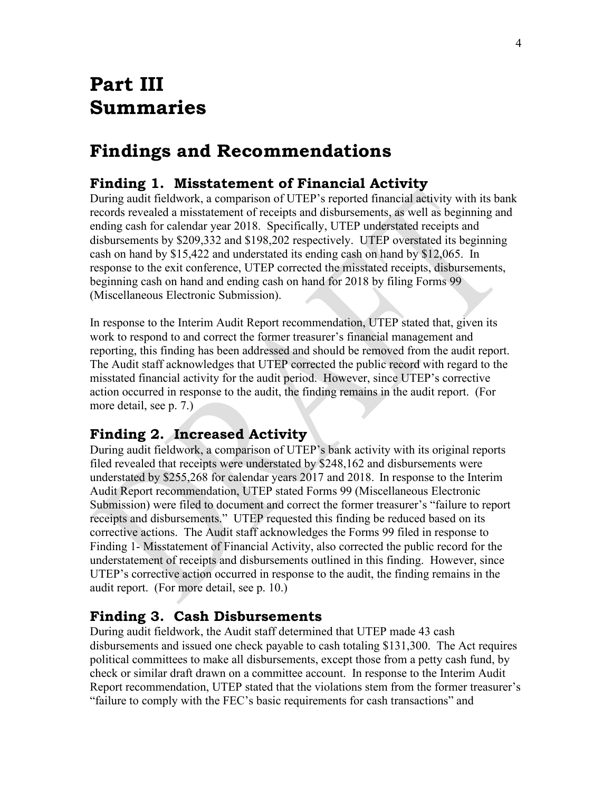# **Part III Summaries**

# **Findings and Recommendations**

## **Finding 1. Misstatement of Financial Activity**

During audit fieldwork, a comparison of UTEP's reported financial activity with its bank records revealed a misstatement of receipts and disbursements, as well as beginning and ending cash for calendar year 2018. Specifically, UTEP understated receipts and disbursements by \$209,332 and \$198,202 respectively. UTEP overstated its beginning cash on hand by \$15,422 and understated its ending cash on hand by \$12,065. In response to the exit conference, UTEP corrected the misstated receipts, disbursements, beginning cash on hand and ending cash on hand for 2018 by filing Forms 99 (Miscellaneous Electronic Submission).

In response to the Interim Audit Report recommendation, UTEP stated that, given its work to respond to and correct the former treasurer's financial management and reporting, this finding has been addressed and should be removed from the audit report. The Audit staff acknowledges that UTEP corrected the public record with regard to the misstated financial activity for the audit period. However, since UTEP's corrective action occurred in response to the audit, the finding remains in the audit report. (For more detail, see p. 7.)

## **Finding 2. Increased Activity**

During audit fieldwork, a comparison of UTEP's bank activity with its original reports filed revealed that receipts were understated by \$248,162 and disbursements were understated by \$255,268 for calendar years 2017 and 2018. In response to the Interim Audit Report recommendation, UTEP stated Forms 99 (Miscellaneous Electronic Submission) were filed to document and correct the former treasurer's "failure to report receipts and disbursements." UTEP requested this finding be reduced based on its corrective actions. The Audit staff acknowledges the Forms 99 filed in response to Finding 1- Misstatement of Financial Activity, also corrected the public record for the understatement of receipts and disbursements outlined in this finding. However, since UTEP's corrective action occurred in response to the audit, the finding remains in the audit report. (For more detail, see p. 10.)

#### **Finding 3. Cash Disbursements**

During audit fieldwork, the Audit staff determined that UTEP made 43 cash disbursements and issued one check payable to cash totaling \$131,300. The Act requires political committees to make all disbursements, except those from a petty cash fund, by check or similar draft drawn on a committee account. In response to the Interim Audit Report recommendation, UTEP stated that the violations stem from the former treasurer's "failure to comply with the FEC's basic requirements for cash transactions" and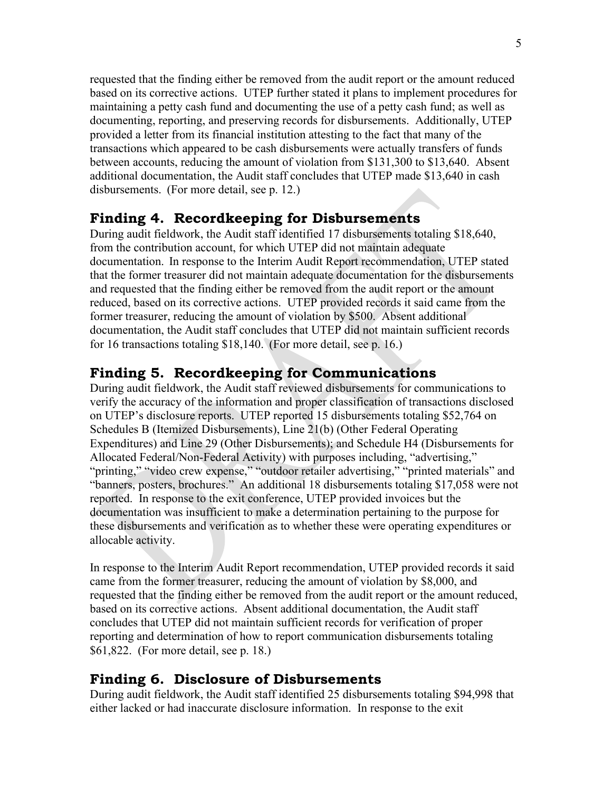requested that the finding either be removed from the audit report or the amount reduced based on its corrective actions. UTEP further stated it plans to implement procedures for maintaining a petty cash fund and documenting the use of a petty cash fund; as well as documenting, reporting, and preserving records for disbursements. Additionally, UTEP provided a letter from its financial institution attesting to the fact that many of the transactions which appeared to be cash disbursements were actually transfers of funds between accounts, reducing the amount of violation from \$131,300 to \$13,640. Absent additional documentation, the Audit staff concludes that UTEP made \$13,640 in cash disbursements. (For more detail, see p. 12.)

#### **Finding 4. Recordkeeping for Disbursements**

During audit fieldwork, the Audit staff identified 17 disbursements totaling \$18,640, from the contribution account, for which UTEP did not maintain adequate documentation. In response to the Interim Audit Report recommendation, UTEP stated that the former treasurer did not maintain adequate documentation for the disbursements and requested that the finding either be removed from the audit report or the amount reduced, based on its corrective actions. UTEP provided records it said came from the former treasurer, reducing the amount of violation by \$500. Absent additional documentation, the Audit staff concludes that UTEP did not maintain sufficient records for 16 transactions totaling \$18,140. (For more detail, see p. 16.)

#### **Finding 5. Recordkeeping for Communications**

During audit fieldwork, the Audit staff reviewed disbursements for communications to verify the accuracy of the information and proper classification of transactions disclosed on UTEP's disclosure reports. UTEP reported 15 disbursements totaling \$52,764 on Schedules B (Itemized Disbursements), Line 21(b) (Other Federal Operating Expenditures) and Line 29 (Other Disbursements); and Schedule H4 (Disbursements for Allocated Federal/Non-Federal Activity) with purposes including, "advertising," "printing," "video crew expense," "outdoor retailer advertising," "printed materials" and "banners, posters, brochures." An additional 18 disbursements totaling \$17,058 were not reported. In response to the exit conference, UTEP provided invoices but the documentation was insufficient to make a determination pertaining to the purpose for these disbursements and verification as to whether these were operating expenditures or allocable activity.

In response to the Interim Audit Report recommendation, UTEP provided records it said came from the former treasurer, reducing the amount of violation by \$8,000, and requested that the finding either be removed from the audit report or the amount reduced, based on its corrective actions. Absent additional documentation, the Audit staff concludes that UTEP did not maintain sufficient records for verification of proper reporting and determination of how to report communication disbursements totaling \$61,822. (For more detail, see p. 18.)

#### **Finding 6. Disclosure of Disbursements**

During audit fieldwork, the Audit staff identified 25 disbursements totaling \$94,998 that either lacked or had inaccurate disclosure information. In response to the exit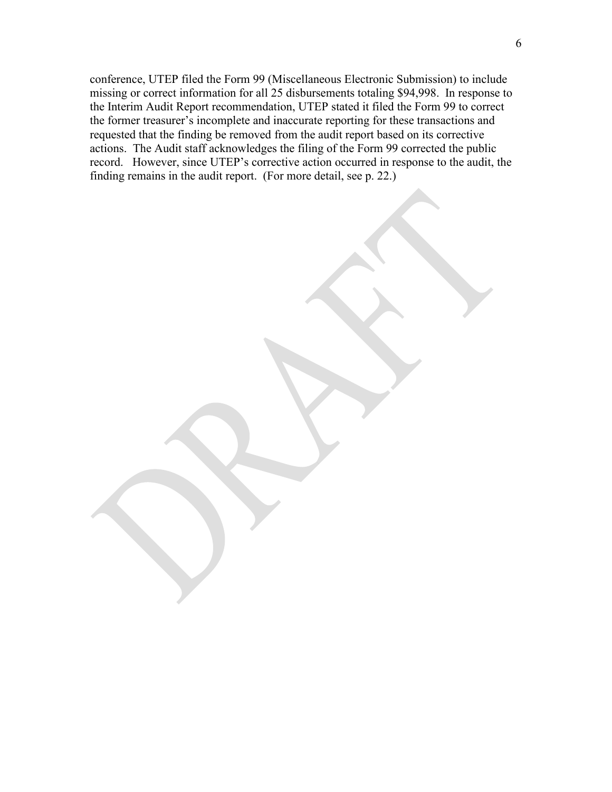conference, UTEP filed the Form 99 (Miscellaneous Electronic Submission) to include missing or correct information for all 25 disbursements totaling \$94,998. In response to the Interim Audit Report recommendation, UTEP stated it filed the Form 99 to correct the former treasurer's incomplete and inaccurate reporting for these transactions and requested that the finding be removed from the audit report based on its corrective actions. The Audit staff acknowledges the filing of the Form 99 corrected the public record. However, since UTEP's corrective action occurred in response to the audit, the finding remains in the audit report. (For more detail, see p. 22.)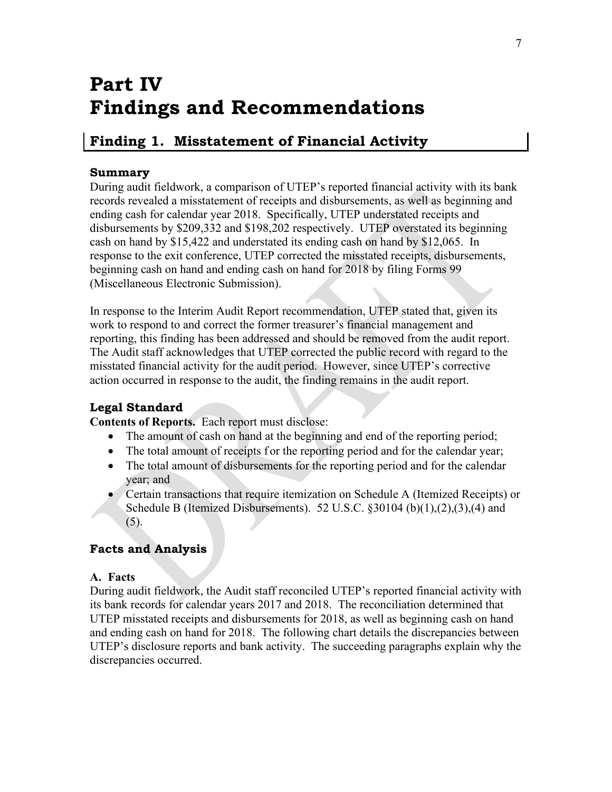# **Part IV Findings and Recommendations**

## <span id="page-12-0"></span>**Finding 1. Misstatement of Financial Activity**

#### **Summary**

During audit fieldwork, a comparison of UTEP's reported financial activity with its bank records revealed a misstatement of receipts and disbursements, as well as beginning and ending cash for calendar year 2018. Specifically, UTEP understated receipts and disbursements by \$209,332 and \$198,202 respectively. UTEP overstated its beginning cash on hand by \$15,422 and understated its ending cash on hand by \$12,065. In response to the exit conference, UTEP corrected the misstated receipts, disbursements, beginning cash on hand and ending cash on hand for 2018 by filing Forms 99 (Miscellaneous Electronic Submission).

In response to the Interim Audit Report recommendation, UTEP stated that, given its work to respond to and correct the former treasurer's financial management and reporting, this finding has been addressed and should be removed from the audit report. The Audit staff acknowledges that UTEP corrected the public record with regard to the misstated financial activity for the audit period. However, since UTEP's corrective action occurred in response to the audit, the finding remains in the audit report.

## **Legal Standard**

**Contents of Reports.** Each report must disclose:

- The amount of cash on hand at the beginning and end of the reporting period;
- The total amount of receipts f or the reporting period and for the calendar year;
- The total amount of disbursements for the reporting period and for the calendar year; and
- Certain transactions that require itemization on Schedule A (Itemized Receipts) or Schedule B (Itemized Disbursements). 52 U.S.C.  $\S 30104$  (b)(1),(2),(3),(4) and (5).

## **Facts and Analysis**

#### **A. Facts**

During audit fieldwork, the Audit staff reconciled UTEP's reported financial activity with its bank records for calendar years 2017 and 2018. The reconciliation determined that UTEP misstated receipts and disbursements for 2018, as well as beginning cash on hand and ending cash on hand for 2018. The following chart details the discrepancies between UTEP's disclosure reports and bank activity. The succeeding paragraphs explain why the discrepancies occurred.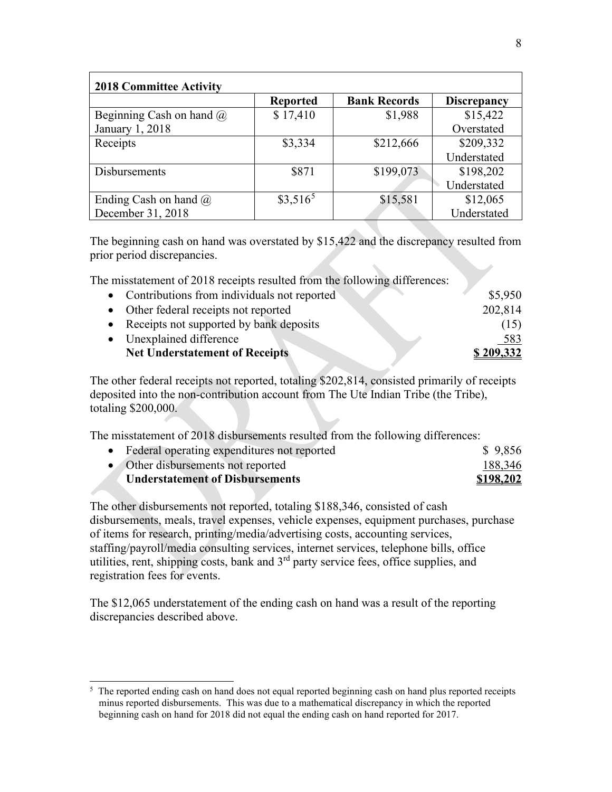| <b>2018 Committee Activity</b>  |                 |                     |                    |
|---------------------------------|-----------------|---------------------|--------------------|
|                                 | <b>Reported</b> | <b>Bank Records</b> | <b>Discrepancy</b> |
| Beginning Cash on hand $\omega$ | \$17,410        | \$1,988             | \$15,422           |
| January 1, 2018                 |                 |                     | Overstated         |
| Receipts                        | \$3,334         | \$212,666           | \$209,332          |
|                                 |                 |                     | Understated        |
| <b>Disbursements</b>            | \$871           | \$199,073           | \$198,202          |
|                                 |                 |                     | Understated        |
| Ending Cash on hand $\omega$    | $$3,516^5$      | \$15,581            | \$12,065           |
| December 31, 2018               |                 |                     | Understated        |

The beginning cash on hand was overstated by \$15,422 and the discrepancy resulted from prior period discrepancies.

The misstatement of 2018 receipts resulted from the following differences:

| • Contributions from individuals not reported | \$5,950    |
|-----------------------------------------------|------------|
| • Other federal receipts not reported         | 202,814    |
| • Receipts not supported by bank deposits     | (15)       |
| • Unexplained difference                      | <u>583</u> |
| <b>Net Understatement of Receipts</b>         | \$209.332  |
|                                               |            |

The other federal receipts not reported, totaling \$202,814, consisted primarily of receipts deposited into the non-contribution account from The Ute Indian Tribe (the Tribe), totaling \$200,000.

The misstatement of 2018 disbursements resulted from the following differences:

| • Federal operating expenditures not reported | \$9,856   |
|-----------------------------------------------|-----------|
| • Other disbursements not reported            | 188,346   |
| <b>Understatement of Disbursements</b>        | \$198,202 |

The other disbursements not reported, totaling \$188,346, consisted of cash disbursements, meals, travel expenses, vehicle expenses, equipment purchases, purchase of items for research, printing/media/advertising costs, accounting services, staffing/payroll/media consulting services, internet services, telephone bills, office utilities, rent, shipping costs, bank and 3<sup>rd</sup> party service fees, office supplies, and registration fees for events.

The \$12,065 understatement of the ending cash on hand was a result of the reporting discrepancies described above.

<span id="page-13-0"></span><sup>&</sup>lt;sup>5</sup> The reported ending cash on hand does not equal reported beginning cash on hand plus reported receipts minus reported disbursements. This was due to a mathematical discrepancy in which the reported beginning cash on hand for 2018 did not equal the ending cash on hand reported for 2017.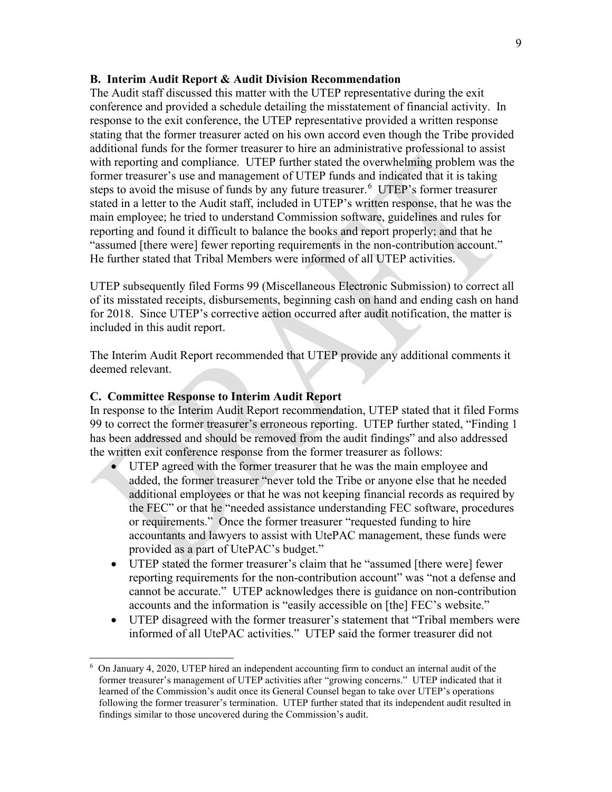#### **B. Interim Audit Report & Audit Division Recommendation**

The Audit staff discussed this matter with the UTEP representative during the exit conference and provided a schedule detailing the misstatement of financial activity. In response to the exit conference, the UTEP representative provided a written response stating that the former treasurer acted on his own accord even though the Tribe provided additional funds for the former treasurer to hire an administrative professional to assist with reporting and compliance. UTEP further stated the overwhelming problem was the former treasurer's use and management of UTEP funds and indicated that it is taking steps to avoid the misuse of funds by any future treasurer.<sup>[6](#page-14-0)</sup> UTEP's former treasurer stated in a letter to the Audit staff, included in UTEP's written response, that he was the main employee; he tried to understand Commission software, guidelines and rules for reporting and found it difficult to balance the books and report properly; and that he "assumed [there were] fewer reporting requirements in the non-contribution account." He further stated that Tribal Members were informed of all UTEP activities.

UTEP subsequently filed Forms 99 (Miscellaneous Electronic Submission) to correct all of its misstated receipts, disbursements, beginning cash on hand and ending cash on hand for 2018. Since UTEP's corrective action occurred after audit notification, the matter is included in this audit report.

The Interim Audit Report recommended that UTEP provide any additional comments it deemed relevant.

#### **C. Committee Response to Interim Audit Report**

In response to the Interim Audit Report recommendation, UTEP stated that it filed Forms 99 to correct the former treasurer's erroneous reporting. UTEP further stated, "Finding 1 has been addressed and should be removed from the audit findings" and also addressed the written exit conference response from the former treasurer as follows:

- UTEP agreed with the former treasurer that he was the main employee and added, the former treasurer "never told the Tribe or anyone else that he needed additional employees or that he was not keeping financial records as required by the FEC" or that he "needed assistance understanding FEC software, procedures or requirements." Once the former treasurer "requested funding to hire accountants and lawyers to assist with UtePAC management, these funds were provided as a part of UtePAC's budget."
- UTEP stated the former treasurer's claim that he "assumed [there were] fewer reporting requirements for the non-contribution account" was "not a defense and cannot be accurate." UTEP acknowledges there is guidance on non-contribution accounts and the information is "easily accessible on [the] FEC's website."
- UTEP disagreed with the former treasurer's statement that "Tribal members were informed of all UtePAC activities." UTEP said the former treasurer did not

<span id="page-14-0"></span><sup>6</sup> On January 4, 2020, UTEP hired an independent accounting firm to conduct an internal audit of the former treasurer's management of UTEP activities after "growing concerns." UTEP indicated that it learned of the Commission's audit once its General Counsel began to take over UTEP's operations following the former treasurer's termination. UTEP further stated that its independent audit resulted in findings similar to those uncovered during the Commission's audit.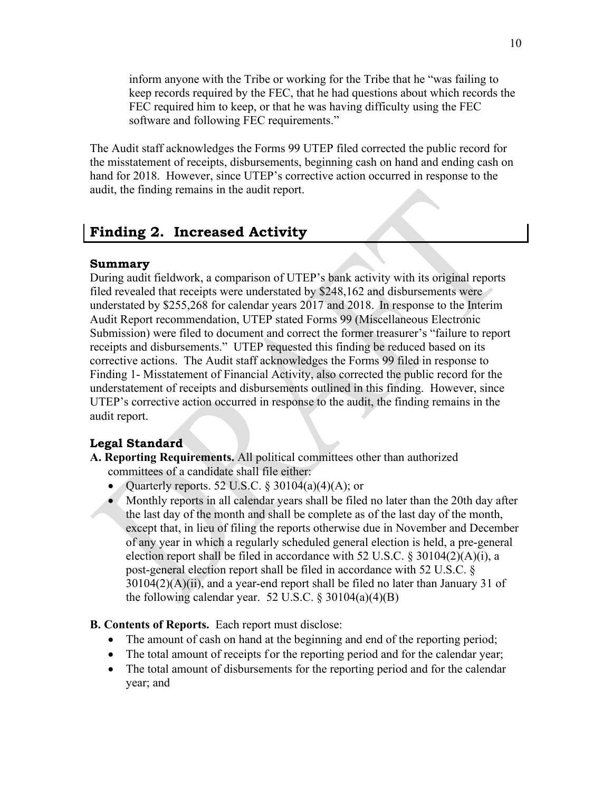inform anyone with the Tribe or working for the Tribe that he "was failing to keep records required by the FEC, that he had questions about which records the FEC required him to keep, or that he was having difficulty using the FEC software and following FEC requirements."

The Audit staff acknowledges the Forms 99 UTEP filed corrected the public record for the misstatement of receipts, disbursements, beginning cash on hand and ending cash on hand for 2018. However, since UTEP's corrective action occurred in response to the audit, the finding remains in the audit report.

## <span id="page-15-0"></span>**Finding 2. Increased Activity**

#### **Summary**

During audit fieldwork, a comparison of UTEP's bank activity with its original reports filed revealed that receipts were understated by \$248,162 and disbursements were understated by \$255,268 for calendar years 2017 and 2018. In response to the Interim Audit Report recommendation, UTEP stated Forms 99 (Miscellaneous Electronic Submission) were filed to document and correct the former treasurer's "failure to report receipts and disbursements." UTEP requested this finding be reduced based on its corrective actions. The Audit staff acknowledges the Forms 99 filed in response to Finding 1- Misstatement of Financial Activity, also corrected the public record for the understatement of receipts and disbursements outlined in this finding. However, since UTEP's corrective action occurred in response to the audit, the finding remains in the audit report.

## **Legal Standard**

- **A. Reporting Requirements.** All political committees other than authorized committees of a candidate shall file either:
	- Quarterly reports. 52 U.S.C. § 30104(a)(4)(A); or
	- Monthly reports in all calendar years shall be filed no later than the 20th day after the last day of the month and shall be complete as of the last day of the month, except that, in lieu of filing the reports otherwise due in November and December of any year in which a regularly scheduled general election is held, a pre-general election report shall be filed in accordance with 52 U.S.C. § 30104(2)(A)(i), a post-general election report shall be filed in accordance with 52 U.S.C. §  $30104(2)$ (A)(ii), and a year-end report shall be filed no later than January 31 of the following calendar year. 52 U.S.C.  $\S 30104(a)(4)(B)$

#### **B. Contents of Reports.** Each report must disclose:

- The amount of cash on hand at the beginning and end of the reporting period;
- The total amount of receipts f or the reporting period and for the calendar year;
- The total amount of disbursements for the reporting period and for the calendar year; and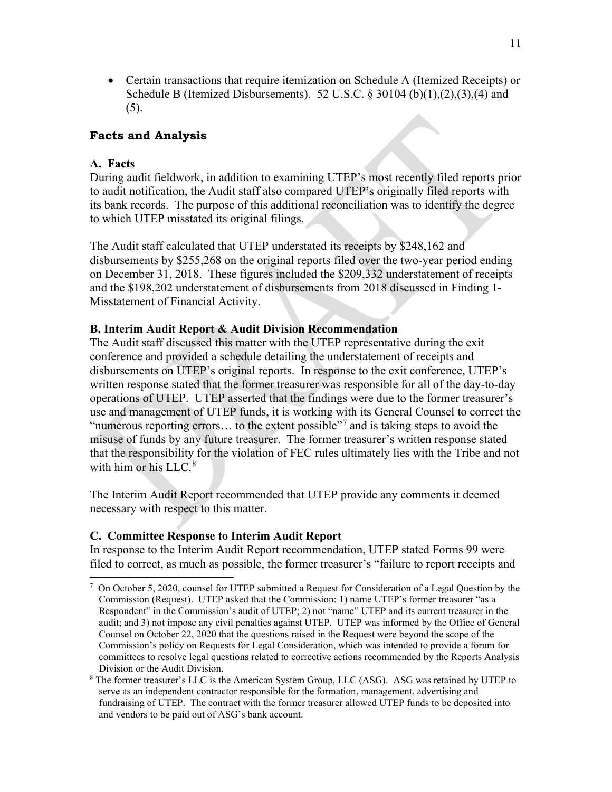• Certain transactions that require itemization on Schedule A (Itemized Receipts) or Schedule B (Itemized Disbursements). 52 U.S.C. § 30104 (b) $(1)$ , $(2)$ , $(3)$ , $(4)$  and  $(5).$ 

#### **Facts and Analysis**

#### **A. Facts**

During audit fieldwork, in addition to examining UTEP's most recently filed reports prior to audit notification, the Audit staff also compared UTEP's originally filed reports with its bank records. The purpose of this additional reconciliation was to identify the degree to which UTEP misstated its original filings.

The Audit staff calculated that UTEP understated its receipts by \$248,162 and disbursements by \$255,268 on the original reports filed over the two-year period ending on December 31, 2018. These figures included the \$209,332 understatement of receipts and the \$198,202 understatement of disbursements from 2018 discussed in Finding 1- Misstatement of Financial Activity.

#### **B. Interim Audit Report & Audit Division Recommendation**

The Audit staff discussed this matter with the UTEP representative during the exit conference and provided a schedule detailing the understatement of receipts and disbursements on UTEP's original reports. In response to the exit conference, UTEP's written response stated that the former treasurer was responsible for all of the day-to-day operations of UTEP. UTEP asserted that the findings were due to the former treasurer's use and management of UTEP funds, it is working with its General Counsel to correct the "numerous reporting errors... to the extent possible"<sup>[7](#page-16-0)</sup> and is taking steps to avoid the misuse of funds by any future treasurer. The former treasurer's written response stated that the responsibility for the violation of FEC rules ultimately lies with the Tribe and not with him or his LLC.<sup>[8](#page-16-1)</sup>

The Interim Audit Report recommended that UTEP provide any comments it deemed necessary with respect to this matter.

#### **C. Committee Response to Interim Audit Report**

In response to the Interim Audit Report recommendation, UTEP stated Forms 99 were filed to correct, as much as possible, the former treasurer's "failure to report receipts and

<span id="page-16-0"></span><sup>&</sup>lt;sup>7</sup> On October 5, 2020, counsel for UTEP submitted a Request for Consideration of a Legal Question by the Commission (Request). UTEP asked that the Commission: 1) name UTEP's former treasurer "as a Respondent" in the Commission's audit of UTEP; 2) not "name" UTEP and its current treasurer in the audit; and 3) not impose any civil penalties against UTEP. UTEP was informed by the Office of General Counsel on October 22, 2020 that the questions raised in the Request were beyond the scope of the Commission's policy on Requests for Legal Consideration, which was intended to provide a forum for committees to resolve legal questions related to corrective actions recommended by the Reports Analysis Division or the Audit Division.

<span id="page-16-1"></span><sup>8</sup> The former treasurer's LLC is the American System Group, LLC (ASG). ASG was retained by UTEP to serve as an independent contractor responsible for the formation, management, advertising and fundraising of UTEP. The contract with the former treasurer allowed UTEP funds to be deposited into and vendors to be paid out of ASG's bank account.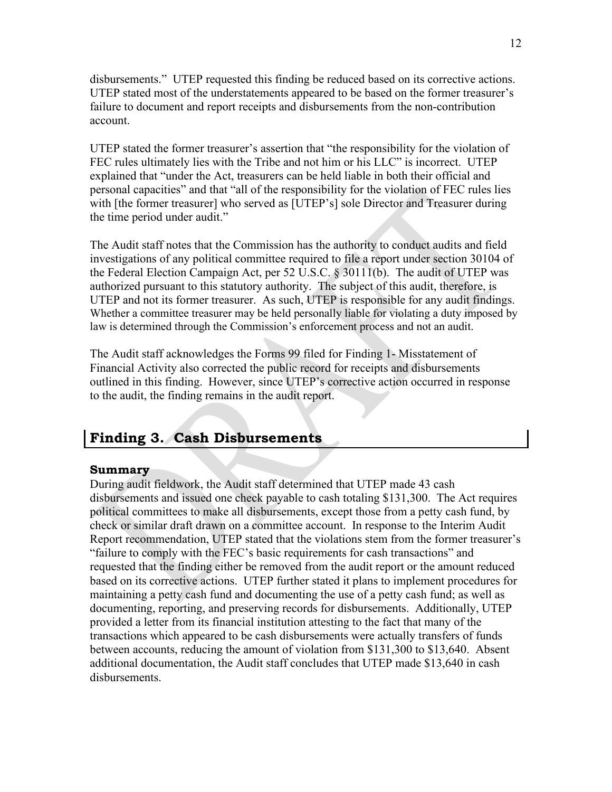disbursements." UTEP requested this finding be reduced based on its corrective actions. UTEP stated most of the understatements appeared to be based on the former treasurer's failure to document and report receipts and disbursements from the non-contribution account.

UTEP stated the former treasurer's assertion that "the responsibility for the violation of FEC rules ultimately lies with the Tribe and not him or his LLC" is incorrect. UTEP explained that "under the Act, treasurers can be held liable in both their official and personal capacities" and that "all of the responsibility for the violation of FEC rules lies with [the former treasurer] who served as [UTEP's] sole Director and Treasurer during the time period under audit."

The Audit staff notes that the Commission has the authority to conduct audits and field investigations of any political committee required to file a report under section 30104 of the Federal Election Campaign Act, per 52 U.S.C. § 30111(b). The audit of UTEP was authorized pursuant to this statutory authority. The subject of this audit, therefore, is UTEP and not its former treasurer. As such, UTEP is responsible for any audit findings. Whether a committee treasurer may be held personally liable for violating a duty imposed by law is determined through the Commission's enforcement process and not an audit.

The Audit staff acknowledges the Forms 99 filed for Finding 1- Misstatement of Financial Activity also corrected the public record for receipts and disbursements outlined in this finding. However, since UTEP's corrective action occurred in response to the audit, the finding remains in the audit report.

## <span id="page-17-0"></span>**Finding 3. Cash Disbursements**

#### **Summary**

During audit fieldwork, the Audit staff determined that UTEP made 43 cash disbursements and issued one check payable to cash totaling \$131,300. The Act requires political committees to make all disbursements, except those from a petty cash fund, by check or similar draft drawn on a committee account. In response to the Interim Audit Report recommendation, UTEP stated that the violations stem from the former treasurer's "failure to comply with the FEC's basic requirements for cash transactions" and requested that the finding either be removed from the audit report or the amount reduced based on its corrective actions. UTEP further stated it plans to implement procedures for maintaining a petty cash fund and documenting the use of a petty cash fund; as well as documenting, reporting, and preserving records for disbursements. Additionally, UTEP provided a letter from its financial institution attesting to the fact that many of the transactions which appeared to be cash disbursements were actually transfers of funds between accounts, reducing the amount of violation from \$131,300 to \$13,640. Absent additional documentation, the Audit staff concludes that UTEP made \$13,640 in cash disbursements.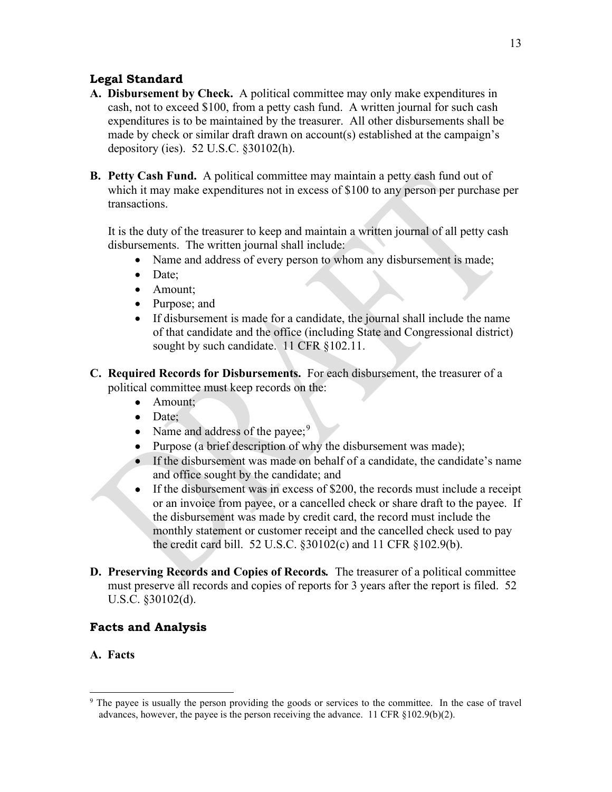#### **Legal Standard**

- **A. Disbursement by Check.**A political committee may only make expenditures in cash, not to exceed \$100, from a petty cash fund. A written journal for such cash expenditures is to be maintained by the treasurer. All other disbursements shall be made by check or similar draft drawn on account(s) established at the campaign's depository (ies). 52 U.S.C. §30102(h).
- **B. Petty Cash Fund.**A political committee may maintain a petty cash fund out of which it may make expenditures not in excess of \$100 to any person per purchase per transactions.

It is the duty of the treasurer to keep and maintain a written journal of all petty cash disbursements. The written journal shall include:

- Name and address of every person to whom any disbursement is made;
- Date:
- Amount;
- Purpose; and
- If disbursement is made for a candidate, the journal shall include the name of that candidate and the office (including State and Congressional district) sought by such candidate. 11 CFR §102.11.
- **C. Required Records for Disbursements.**For each disbursement, the treasurer of a political committee must keep records on the:
	- Amount:
	- Date:
	- Name and address of the payee;  $9^9$  $9^9$
	- Purpose (a brief description of why the disbursement was made);
	- If the disbursement was made on behalf of a candidate, the candidate's name and office sought by the candidate; and
	- If the disbursement was in excess of \$200, the records must include a receipt or an invoice from payee, or a cancelled check or share draft to the payee. If the disbursement was made by credit card, the record must include the monthly statement or customer receipt and the cancelled check used to pay the credit card bill. 52 U.S.C. §30102(c) and 11 CFR §102.9(b).
- **D. Preserving Records and Copies of Records***.* The treasurer of a political committee must preserve all records and copies of reports for 3 years after the report is filed. 52 U.S.C. §30102(d).

#### **Facts and Analysis**

#### **A. Facts**

<span id="page-18-0"></span><sup>&</sup>lt;sup>9</sup> The payee is usually the person providing the goods or services to the committee. In the case of travel advances, however, the payee is the person receiving the advance. 11 CFR §102.9(b)(2).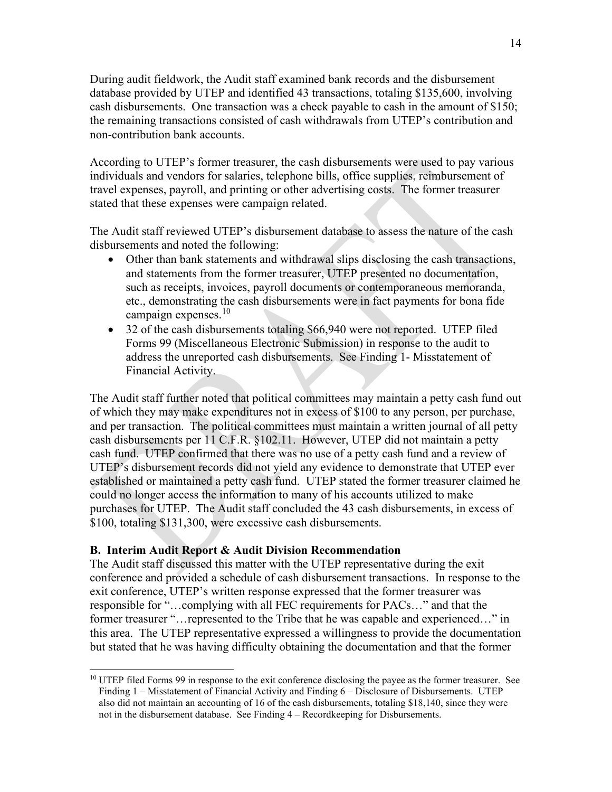During audit fieldwork, the Audit staff examined bank records and the disbursement database provided by UTEP and identified 43 transactions, totaling \$135,600, involving cash disbursements. One transaction was a check payable to cash in the amount of \$150; the remaining transactions consisted of cash withdrawals from UTEP's contribution and non-contribution bank accounts.

According to UTEP's former treasurer, the cash disbursements were used to pay various individuals and vendors for salaries, telephone bills, office supplies, reimbursement of travel expenses, payroll, and printing or other advertising costs. The former treasurer stated that these expenses were campaign related.

The Audit staff reviewed UTEP's disbursement database to assess the nature of the cash disbursements and noted the following:

- Other than bank statements and withdrawal slips disclosing the cash transactions, and statements from the former treasurer, UTEP presented no documentation, such as receipts, invoices, payroll documents or contemporaneous memoranda, etc., demonstrating the cash disbursements were in fact payments for bona fide campaign expenses. [10](#page-19-0)
- 32 of the cash disbursements totaling \$66,940 were not reported. UTEP filed Forms 99 (Miscellaneous Electronic Submission) in response to the audit to address the unreported cash disbursements. See Finding 1- Misstatement of Financial Activity.

The Audit staff further noted that political committees may maintain a petty cash fund out of which they may make expenditures not in excess of \$100 to any person, per purchase, and per transaction. The political committees must maintain a written journal of all petty cash disbursements per 11 C.F.R. §102.11. However, UTEP did not maintain a petty cash fund. UTEP confirmed that there was no use of a petty cash fund and a review of UTEP's disbursement records did not yield any evidence to demonstrate that UTEP ever established or maintained a petty cash fund. UTEP stated the former treasurer claimed he could no longer access the information to many of his accounts utilized to make purchases for UTEP. The Audit staff concluded the 43 cash disbursements, in excess of \$100, totaling \$131,300, were excessive cash disbursements.

#### **B. Interim Audit Report & Audit Division Recommendation**

The Audit staff discussed this matter with the UTEP representative during the exit conference and provided a schedule of cash disbursement transactions. In response to the exit conference, UTEP's written response expressed that the former treasurer was responsible for "…complying with all FEC requirements for PACs…" and that the former treasurer "…represented to the Tribe that he was capable and experienced…" in this area. The UTEP representative expressed a willingness to provide the documentation but stated that he was having difficulty obtaining the documentation and that the former

<span id="page-19-0"></span><sup>&</sup>lt;sup>10</sup> UTEP filed Forms 99 in response to the exit conference disclosing the payee as the former treasurer. See Finding 1 – Misstatement of Financial Activity and Finding 6 – Disclosure of Disbursements. UTEP also did not maintain an accounting of 16 of the cash disbursements, totaling \$18,140, since they were not in the disbursement database. See Finding 4 – Recordkeeping for Disbursements.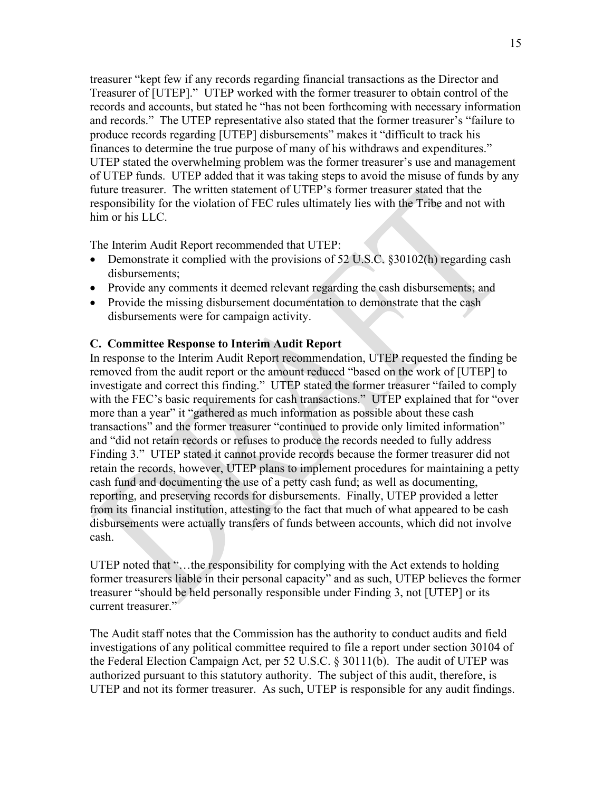treasurer "kept few if any records regarding financial transactions as the Director and Treasurer of [UTEP]." UTEP worked with the former treasurer to obtain control of the records and accounts, but stated he "has not been forthcoming with necessary information and records." The UTEP representative also stated that the former treasurer's "failure to produce records regarding [UTEP] disbursements" makes it "difficult to track his finances to determine the true purpose of many of his withdraws and expenditures." UTEP stated the overwhelming problem was the former treasurer's use and management of UTEP funds. UTEP added that it was taking steps to avoid the misuse of funds by any future treasurer. The written statement of UTEP's former treasurer stated that the responsibility for the violation of FEC rules ultimately lies with the Tribe and not with him or his LLC.

The Interim Audit Report recommended that UTEP:

- Demonstrate it complied with the provisions of 52 U.S.C. §30102(h) regarding cash disbursements;
- Provide any comments it deemed relevant regarding the cash disbursements; and
- Provide the missing disbursement documentation to demonstrate that the cash disbursements were for campaign activity.

#### **C. Committee Response to Interim Audit Report**

In response to the Interim Audit Report recommendation, UTEP requested the finding be removed from the audit report or the amount reduced "based on the work of [UTEP] to investigate and correct this finding." UTEP stated the former treasurer "failed to comply with the FEC's basic requirements for cash transactions." UTEP explained that for "over more than a year" it "gathered as much information as possible about these cash transactions" and the former treasurer "continued to provide only limited information" and "did not retain records or refuses to produce the records needed to fully address Finding 3." UTEP stated it cannot provide records because the former treasurer did not retain the records, however, UTEP plans to implement procedures for maintaining a petty cash fund and documenting the use of a petty cash fund; as well as documenting, reporting, and preserving records for disbursements. Finally, UTEP provided a letter from its financial institution, attesting to the fact that much of what appeared to be cash disbursements were actually transfers of funds between accounts, which did not involve cash.

UTEP noted that "…the responsibility for complying with the Act extends to holding former treasurers liable in their personal capacity" and as such, UTEP believes the former treasurer "should be held personally responsible under Finding 3, not [UTEP] or its current treasurer."

The Audit staff notes that the Commission has the authority to conduct audits and field investigations of any political committee required to file a report under section 30104 of the Federal Election Campaign Act, per 52 U.S.C. § 30111(b). The audit of UTEP was authorized pursuant to this statutory authority. The subject of this audit, therefore, is UTEP and not its former treasurer. As such, UTEP is responsible for any audit findings.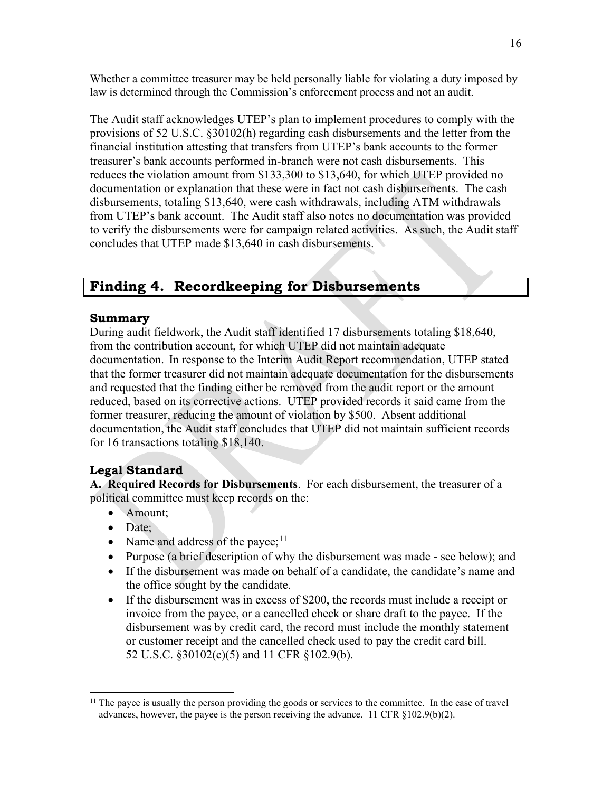Whether a committee treasurer may be held personally liable for violating a duty imposed by law is determined through the Commission's enforcement process and not an audit.

The Audit staff acknowledges UTEP's plan to implement procedures to comply with the provisions of 52 U.S.C. §30102(h) regarding cash disbursements and the letter from the financial institution attesting that transfers from UTEP's bank accounts to the former treasurer's bank accounts performed in-branch were not cash disbursements. This reduces the violation amount from \$133,300 to \$13,640, for which UTEP provided no documentation or explanation that these were in fact not cash disbursements. The cash disbursements, totaling \$13,640, were cash withdrawals, including ATM withdrawals from UTEP's bank account. The Audit staff also notes no documentation was provided to verify the disbursements were for campaign related activities. As such, the Audit staff concludes that UTEP made \$13,640 in cash disbursements.

## <span id="page-21-0"></span>**Finding 4. Recordkeeping for Disbursements**

#### **Summary**

During audit fieldwork, the Audit staff identified 17 disbursements totaling \$18,640, from the contribution account, for which UTEP did not maintain adequate documentation. In response to the Interim Audit Report recommendation, UTEP stated that the former treasurer did not maintain adequate documentation for the disbursements and requested that the finding either be removed from the audit report or the amount reduced, based on its corrective actions. UTEP provided records it said came from the former treasurer, reducing the amount of violation by \$500. Absent additional documentation, the Audit staff concludes that UTEP did not maintain sufficient records for 16 transactions totaling \$18,140.

## **Legal Standard**

**A. Required Records for Disbursements**. For each disbursement, the treasurer of a political committee must keep records on the:

- Amount;
- Date;
- Name and address of the payee;  $11$
- Purpose (a brief description of why the disbursement was made see below); and
- If the disbursement was made on behalf of a candidate, the candidate's name and the office sought by the candidate.
- If the disbursement was in excess of \$200, the records must include a receipt or invoice from the payee, or a cancelled check or share draft to the payee. If the disbursement was by credit card, the record must include the monthly statement or customer receipt and the cancelled check used to pay the credit card bill. 52 U.S.C. §30102(c)(5) and 11 CFR §102.9(b).

<span id="page-21-1"></span><sup>&</sup>lt;sup>11</sup> The payee is usually the person providing the goods or services to the committee. In the case of travel advances, however, the payee is the person receiving the advance. 11 CFR §102.9(b)(2).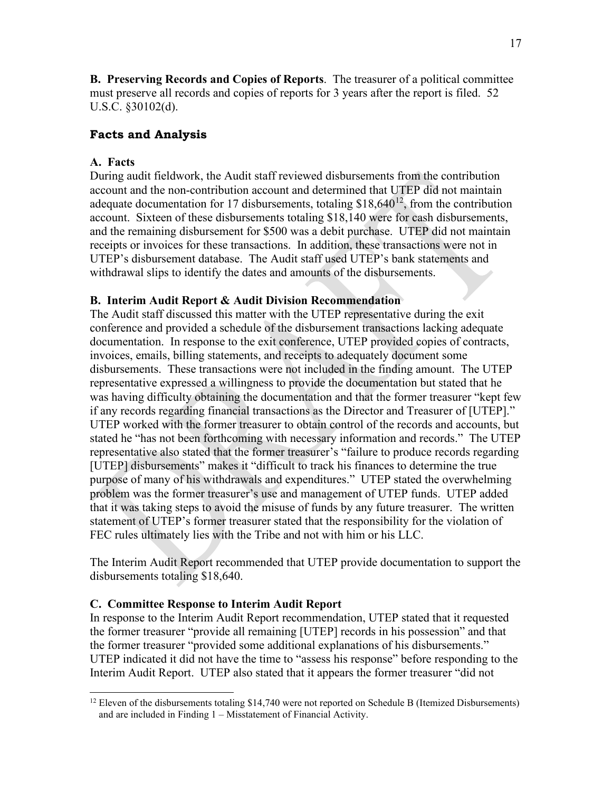**B. Preserving Records and Copies of Reports**. The treasurer of a political committee must preserve all records and copies of reports for 3 years after the report is filed. 52 U.S.C. §30102(d).

#### **Facts and Analysis**

#### **A. Facts**

During audit fieldwork, the Audit staff reviewed disbursements from the contribution account and the non-contribution account and determined that UTEP did not maintain adequate documentation for 17 disbursements, totaling  $$18,640^{12}$ , from the contribution account. Sixteen of these disbursements totaling \$18,140 were for cash disbursements, and the remaining disbursement for \$500 was a debit purchase. UTEP did not maintain receipts or invoices for these transactions. In addition, these transactions were not in UTEP's disbursement database. The Audit staff used UTEP's bank statements and withdrawal slips to identify the dates and amounts of the disbursements.

#### **B. Interim Audit Report & Audit Division Recommendation**

The Audit staff discussed this matter with the UTEP representative during the exit conference and provided a schedule of the disbursement transactions lacking adequate documentation. In response to the exit conference, UTEP provided copies of contracts, invoices, emails, billing statements, and receipts to adequately document some disbursements. These transactions were not included in the finding amount. The UTEP representative expressed a willingness to provide the documentation but stated that he was having difficulty obtaining the documentation and that the former treasurer "kept few if any records regarding financial transactions as the Director and Treasurer of [UTEP]." UTEP worked with the former treasurer to obtain control of the records and accounts, but stated he "has not been forthcoming with necessary information and records." The UTEP representative also stated that the former treasurer's "failure to produce records regarding [UTEP] disbursements" makes it "difficult to track his finances to determine the true purpose of many of his withdrawals and expenditures." UTEP stated the overwhelming problem was the former treasurer's use and management of UTEP funds. UTEP added that it was taking steps to avoid the misuse of funds by any future treasurer. The written statement of UTEP's former treasurer stated that the responsibility for the violation of FEC rules ultimately lies with the Tribe and not with him or his LLC.

The Interim Audit Report recommended that UTEP provide documentation to support the disbursements totaling \$18,640.

#### **C. Committee Response to Interim Audit Report**

In response to the Interim Audit Report recommendation, UTEP stated that it requested the former treasurer "provide all remaining [UTEP] records in his possession" and that the former treasurer "provided some additional explanations of his disbursements." UTEP indicated it did not have the time to "assess his response" before responding to the Interim Audit Report. UTEP also stated that it appears the former treasurer "did not

<span id="page-22-0"></span><sup>&</sup>lt;sup>12</sup> Eleven of the disbursements totaling \$14,740 were not reported on Schedule B (Itemized Disbursements) and are included in Finding 1 – Misstatement of Financial Activity.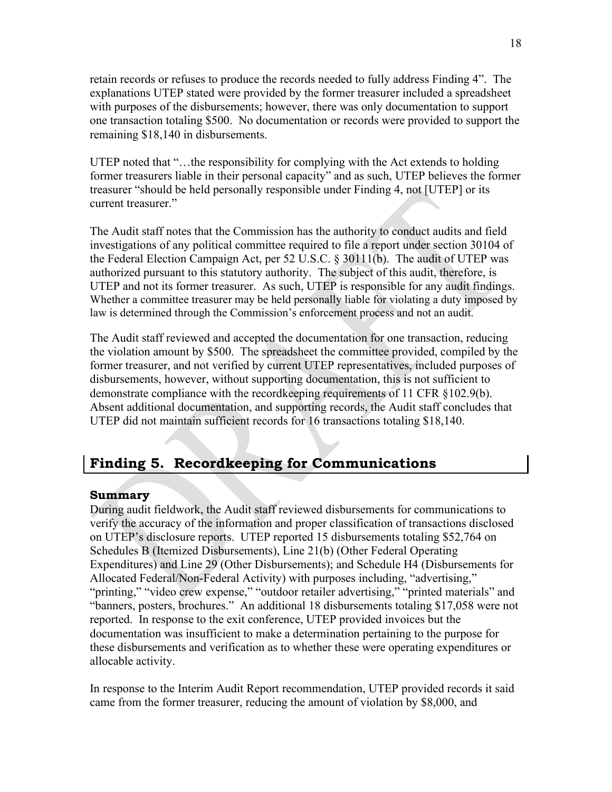retain records or refuses to produce the records needed to fully address Finding 4". The explanations UTEP stated were provided by the former treasurer included a spreadsheet with purposes of the disbursements; however, there was only documentation to support one transaction totaling \$500. No documentation or records were provided to support the remaining \$18,140 in disbursements.

UTEP noted that "...the responsibility for complying with the Act extends to holding former treasurers liable in their personal capacity" and as such, UTEP believes the former treasurer "should be held personally responsible under Finding 4, not [UTEP] or its current treasurer."

The Audit staff notes that the Commission has the authority to conduct audits and field investigations of any political committee required to file a report under section 30104 of the Federal Election Campaign Act, per 52 U.S.C. § 30111(b). The audit of UTEP was authorized pursuant to this statutory authority. The subject of this audit, therefore, is UTEP and not its former treasurer. As such, UTEP is responsible for any audit findings. Whether a committee treasurer may be held personally liable for violating a duty imposed by law is determined through the Commission's enforcement process and not an audit.

The Audit staff reviewed and accepted the documentation for one transaction, reducing the violation amount by \$500. The spreadsheet the committee provided, compiled by the former treasurer, and not verified by current UTEP representatives, included purposes of disbursements, however, without supporting documentation, this is not sufficient to demonstrate compliance with the recordkeeping requirements of 11 CFR §102.9(b). Absent additional documentation, and supporting records, the Audit staff concludes that UTEP did not maintain sufficient records for 16 transactions totaling \$18,140.

# <span id="page-23-0"></span>**Finding 5. Recordkeeping for Communications**

#### **Summary**

During audit fieldwork, the Audit staff reviewed disbursements for communications to verify the accuracy of the information and proper classification of transactions disclosed on UTEP's disclosure reports. UTEP reported 15 disbursements totaling \$52,764 on Schedules B (Itemized Disbursements), Line 21(b) (Other Federal Operating Expenditures) and Line 29 (Other Disbursements); and Schedule H4 (Disbursements for Allocated Federal/Non-Federal Activity) with purposes including, "advertising," "printing," "video crew expense," "outdoor retailer advertising," "printed materials" and "banners, posters, brochures." An additional 18 disbursements totaling \$17,058 were not reported. In response to the exit conference, UTEP provided invoices but the documentation was insufficient to make a determination pertaining to the purpose for these disbursements and verification as to whether these were operating expenditures or allocable activity.

In response to the Interim Audit Report recommendation, UTEP provided records it said came from the former treasurer, reducing the amount of violation by \$8,000, and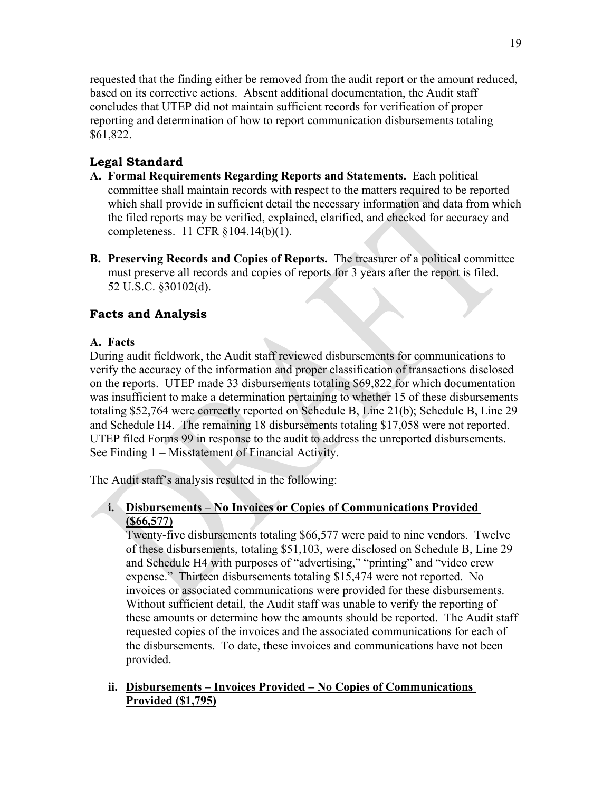requested that the finding either be removed from the audit report or the amount reduced, based on its corrective actions. Absent additional documentation, the Audit staff concludes that UTEP did not maintain sufficient records for verification of proper reporting and determination of how to report communication disbursements totaling \$61,822.

## **Legal Standard**

- **A. Formal Requirements Regarding Reports and Statements.** Each political committee shall maintain records with respect to the matters required to be reported which shall provide in sufficient detail the necessary information and data from which the filed reports may be verified, explained, clarified, and checked for accuracy and completeness. 11 CFR §104.14(b)(1).
- **B. Preserving Records and Copies of Reports.** The treasurer of a political committee must preserve all records and copies of reports for 3 years after the report is filed. 52 U.S.C. §30102(d).

## **Facts and Analysis**

#### **A. Facts**

During audit fieldwork, the Audit staff reviewed disbursements for communications to verify the accuracy of the information and proper classification of transactions disclosed on the reports. UTEP made 33 disbursements totaling \$69,822 for which documentation was insufficient to make a determination pertaining to whether 15 of these disbursements totaling \$52,764 were correctly reported on Schedule B, Line 21(b); Schedule B, Line 29 and Schedule H4. The remaining 18 disbursements totaling \$17,058 were not reported. UTEP filed Forms 99 in response to the audit to address the unreported disbursements. See Finding 1 – Misstatement of Financial Activity.

The Audit staff's analysis resulted in the following:

#### **i. Disbursements – No Invoices or Copies of Communications Provided (\$66,577)**

Twenty-five disbursements totaling \$66,577 were paid to nine vendors. Twelve of these disbursements, totaling \$51,103, were disclosed on Schedule B, Line 29 and Schedule H4 with purposes of "advertising," "printing" and "video crew expense." Thirteen disbursements totaling \$15,474 were not reported. No invoices or associated communications were provided for these disbursements. Without sufficient detail, the Audit staff was unable to verify the reporting of these amounts or determine how the amounts should be reported. The Audit staff requested copies of the invoices and the associated communications for each of the disbursements. To date, these invoices and communications have not been provided.

#### **ii. Disbursements – Invoices Provided – No Copies of Communications Provided (\$1,795)**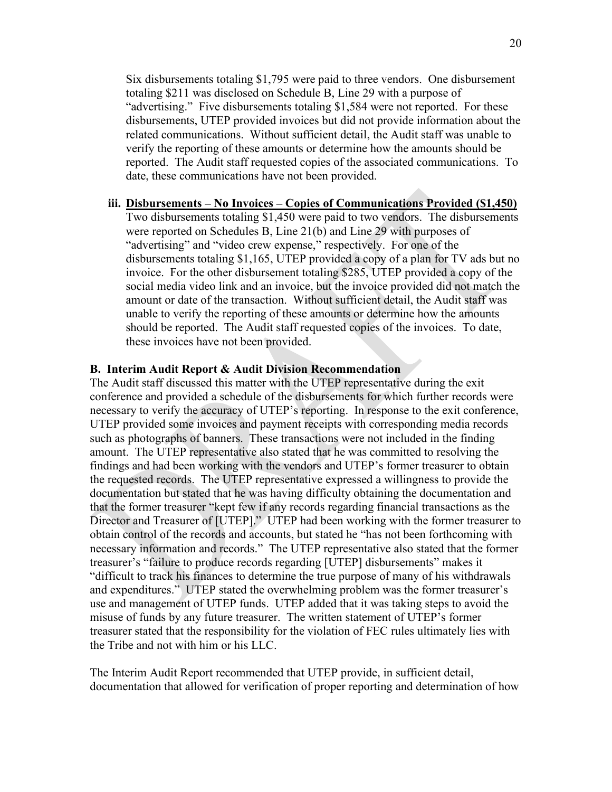Six disbursements totaling \$1,795 were paid to three vendors. One disbursement totaling \$211 was disclosed on Schedule B, Line 29 with a purpose of "advertising." Five disbursements totaling \$1,584 were not reported. For these disbursements, UTEP provided invoices but did not provide information about the related communications. Without sufficient detail, the Audit staff was unable to verify the reporting of these amounts or determine how the amounts should be reported. The Audit staff requested copies of the associated communications. To date, these communications have not been provided.

#### **iii. Disbursements – No Invoices – Copies of Communications Provided (\$1,450)**

Two disbursements totaling \$1,450 were paid to two vendors. The disbursements were reported on Schedules B, Line 21(b) and Line 29 with purposes of "advertising" and "video crew expense," respectively. For one of the disbursements totaling \$1,165, UTEP provided a copy of a plan for TV ads but no invoice. For the other disbursement totaling \$285, UTEP provided a copy of the social media video link and an invoice, but the invoice provided did not match the amount or date of the transaction. Without sufficient detail, the Audit staff was unable to verify the reporting of these amounts or determine how the amounts should be reported. The Audit staff requested copies of the invoices. To date, these invoices have not been provided.

#### **B. Interim Audit Report & Audit Division Recommendation**

The Audit staff discussed this matter with the UTEP representative during the exit conference and provided a schedule of the disbursements for which further records were necessary to verify the accuracy of UTEP's reporting. In response to the exit conference, UTEP provided some invoices and payment receipts with corresponding media records such as photographs of banners. These transactions were not included in the finding amount. The UTEP representative also stated that he was committed to resolving the findings and had been working with the vendors and UTEP's former treasurer to obtain the requested records. The UTEP representative expressed a willingness to provide the documentation but stated that he was having difficulty obtaining the documentation and that the former treasurer "kept few if any records regarding financial transactions as the Director and Treasurer of [UTEP]." UTEP had been working with the former treasurer to obtain control of the records and accounts, but stated he "has not been forthcoming with necessary information and records." The UTEP representative also stated that the former treasurer's "failure to produce records regarding [UTEP] disbursements" makes it "difficult to track his finances to determine the true purpose of many of his withdrawals and expenditures." UTEP stated the overwhelming problem was the former treasurer's use and management of UTEP funds. UTEP added that it was taking steps to avoid the misuse of funds by any future treasurer. The written statement of UTEP's former treasurer stated that the responsibility for the violation of FEC rules ultimately lies with the Tribe and not with him or his LLC.

The Interim Audit Report recommended that UTEP provide, in sufficient detail, documentation that allowed for verification of proper reporting and determination of how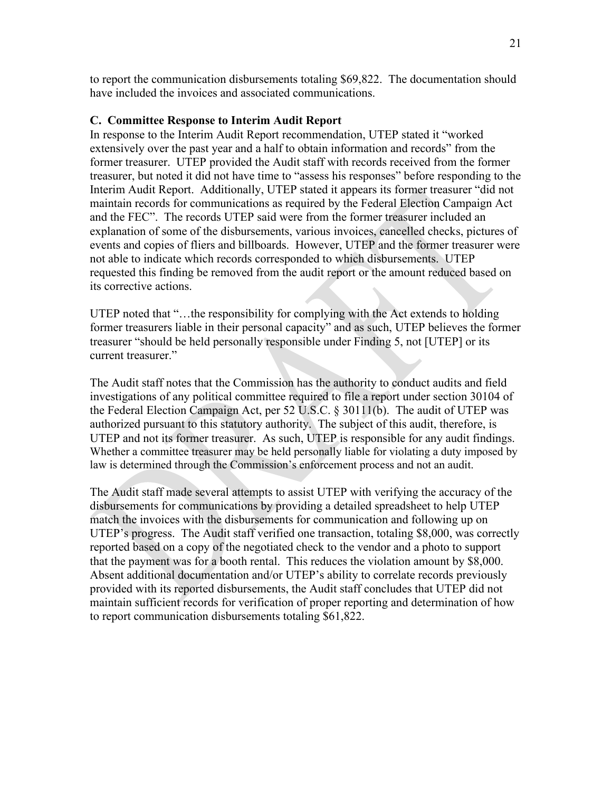to report the communication disbursements totaling \$69,822. The documentation should have included the invoices and associated communications.

#### **C. Committee Response to Interim Audit Report**

In response to the Interim Audit Report recommendation, UTEP stated it "worked extensively over the past year and a half to obtain information and records" from the former treasurer. UTEP provided the Audit staff with records received from the former treasurer, but noted it did not have time to "assess his responses" before responding to the Interim Audit Report. Additionally, UTEP stated it appears its former treasurer "did not maintain records for communications as required by the Federal Election Campaign Act and the FEC". The records UTEP said were from the former treasurer included an explanation of some of the disbursements, various invoices, cancelled checks, pictures of events and copies of fliers and billboards. However, UTEP and the former treasurer were not able to indicate which records corresponded to which disbursements. UTEP requested this finding be removed from the audit report or the amount reduced based on its corrective actions.

UTEP noted that "…the responsibility for complying with the Act extends to holding former treasurers liable in their personal capacity" and as such, UTEP believes the former treasurer "should be held personally responsible under Finding 5, not [UTEP] or its current treasurer."

The Audit staff notes that the Commission has the authority to conduct audits and field investigations of any political committee required to file a report under section 30104 of the Federal Election Campaign Act, per 52 U.S.C. § 30111(b). The audit of UTEP was authorized pursuant to this statutory authority. The subject of this audit, therefore, is UTEP and not its former treasurer. As such, UTEP is responsible for any audit findings. Whether a committee treasurer may be held personally liable for violating a duty imposed by law is determined through the Commission's enforcement process and not an audit.

The Audit staff made several attempts to assist UTEP with verifying the accuracy of the disbursements for communications by providing a detailed spreadsheet to help UTEP match the invoices with the disbursements for communication and following up on UTEP's progress. The Audit staff verified one transaction, totaling \$8,000, was correctly reported based on a copy of the negotiated check to the vendor and a photo to support that the payment was for a booth rental. This reduces the violation amount by \$8,000. Absent additional documentation and/or UTEP's ability to correlate records previously provided with its reported disbursements, the Audit staff concludes that UTEP did not maintain sufficient records for verification of proper reporting and determination of how to report communication disbursements totaling \$61,822.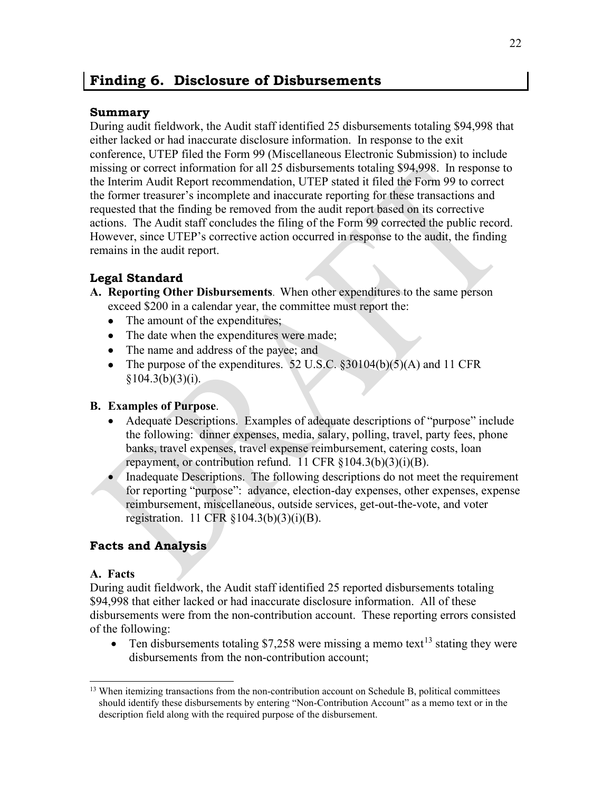## <span id="page-27-0"></span>**Finding 6. Disclosure of Disbursements**

### **Summary**

During audit fieldwork, the Audit staff identified 25 disbursements totaling \$94,998 that either lacked or had inaccurate disclosure information. In response to the exit conference, UTEP filed the Form 99 (Miscellaneous Electronic Submission) to include missing or correct information for all 25 disbursements totaling \$94,998. In response to the Interim Audit Report recommendation, UTEP stated it filed the Form 99 to correct the former treasurer's incomplete and inaccurate reporting for these transactions and requested that the finding be removed from the audit report based on its corrective actions. The Audit staff concludes the filing of the Form 99 corrected the public record. However, since UTEP's corrective action occurred in response to the audit, the finding remains in the audit report.

## **Legal Standard**

- **A. Reporting Other Disbursements**. When other expenditures to the same person exceed \$200 in a calendar year, the committee must report the:
	- The amount of the expenditures;
	- The date when the expenditures were made;
	- The name and address of the payee; and
	- The purpose of the expenditures. 52 U.S.C.  $\S 30104(b)(5)(A)$  and 11 CFR  $§104.3(b)(3)(i).$

## **B. Examples of Purpose**.

- Adequate Descriptions. Examples of adequate descriptions of "purpose" include the following: dinner expenses, media, salary, polling, travel, party fees, phone banks, travel expenses, travel expense reimbursement, catering costs, loan repayment, or contribution refund. 11 CFR §104.3(b)(3)(i)(B).
- Inadequate Descriptions. The following descriptions do not meet the requirement for reporting "purpose": advance, election-day expenses, other expenses, expense reimbursement, miscellaneous, outside services, get-out-the-vote, and voter registration. 11 CFR §104.3(b)(3)(i)(B).

## **Facts and Analysis**

#### **A. Facts**

During audit fieldwork, the Audit staff identified 25 reported disbursements totaling \$94,998 that either lacked or had inaccurate disclosure information. All of these disbursements were from the non-contribution account. These reporting errors consisted of the following:

• Ten disbursements totaling \$7,258 were missing a memo text<sup>[13](#page-27-1)</sup> stating they were disbursements from the non-contribution account;

<span id="page-27-1"></span><sup>&</sup>lt;sup>13</sup> When itemizing transactions from the non-contribution account on Schedule B, political committees should identify these disbursements by entering "Non-Contribution Account" as a memo text or in the description field along with the required purpose of the disbursement.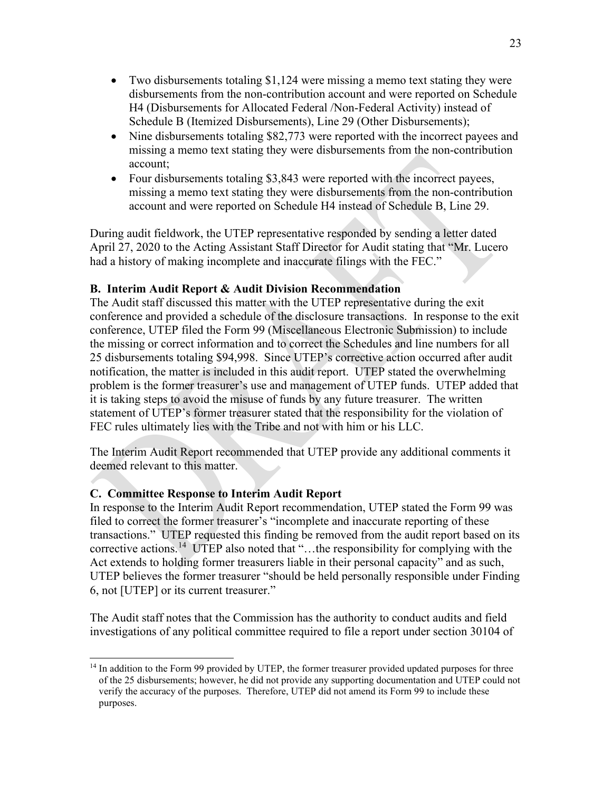- Two disbursements totaling \$1,124 were missing a memo text stating they were disbursements from the non-contribution account and were reported on Schedule H4 (Disbursements for Allocated Federal /Non-Federal Activity) instead of Schedule B (Itemized Disbursements), Line 29 (Other Disbursements);
- Nine disbursements totaling \$82,773 were reported with the incorrect payees and missing a memo text stating they were disbursements from the non-contribution account;
- Four disbursements totaling \$3,843 were reported with the incorrect payees, missing a memo text stating they were disbursements from the non-contribution account and were reported on Schedule H4 instead of Schedule B, Line 29.

During audit fieldwork, the UTEP representative responded by sending a letter dated April 27, 2020 to the Acting Assistant Staff Director for Audit stating that "Mr. Lucero had a history of making incomplete and inaccurate filings with the FEC."

#### **B. Interim Audit Report & Audit Division Recommendation**

The Audit staff discussed this matter with the UTEP representative during the exit conference and provided a schedule of the disclosure transactions. In response to the exit conference, UTEP filed the Form 99 (Miscellaneous Electronic Submission) to include the missing or correct information and to correct the Schedules and line numbers for all 25 disbursements totaling \$94,998. Since UTEP's corrective action occurred after audit notification, the matter is included in this audit report. UTEP stated the overwhelming problem is the former treasurer's use and management of UTEP funds. UTEP added that it is taking steps to avoid the misuse of funds by any future treasurer. The written statement of UTEP's former treasurer stated that the responsibility for the violation of FEC rules ultimately lies with the Tribe and not with him or his LLC.

The Interim Audit Report recommended that UTEP provide any additional comments it deemed relevant to this matter.

#### **C. Committee Response to Interim Audit Report**

In response to the Interim Audit Report recommendation, UTEP stated the Form 99 was filed to correct the former treasurer's "incomplete and inaccurate reporting of these transactions." UTEP requested this finding be removed from the audit report based on its corrective actions.<sup>14</sup> UTEP also noted that "...the responsibility for complying with the Act extends to holding former treasurers liable in their personal capacity" and as such, UTEP believes the former treasurer "should be held personally responsible under Finding 6, not [UTEP] or its current treasurer."

The Audit staff notes that the Commission has the authority to conduct audits and field investigations of any political committee required to file a report under section 30104 of

<span id="page-28-0"></span><sup>&</sup>lt;sup>14</sup> In addition to the Form 99 provided by UTEP, the former treasurer provided updated purposes for three of the 25 disbursements; however, he did not provide any supporting documentation and UTEP could not verify the accuracy of the purposes. Therefore, UTEP did not amend its Form 99 to include these purposes.